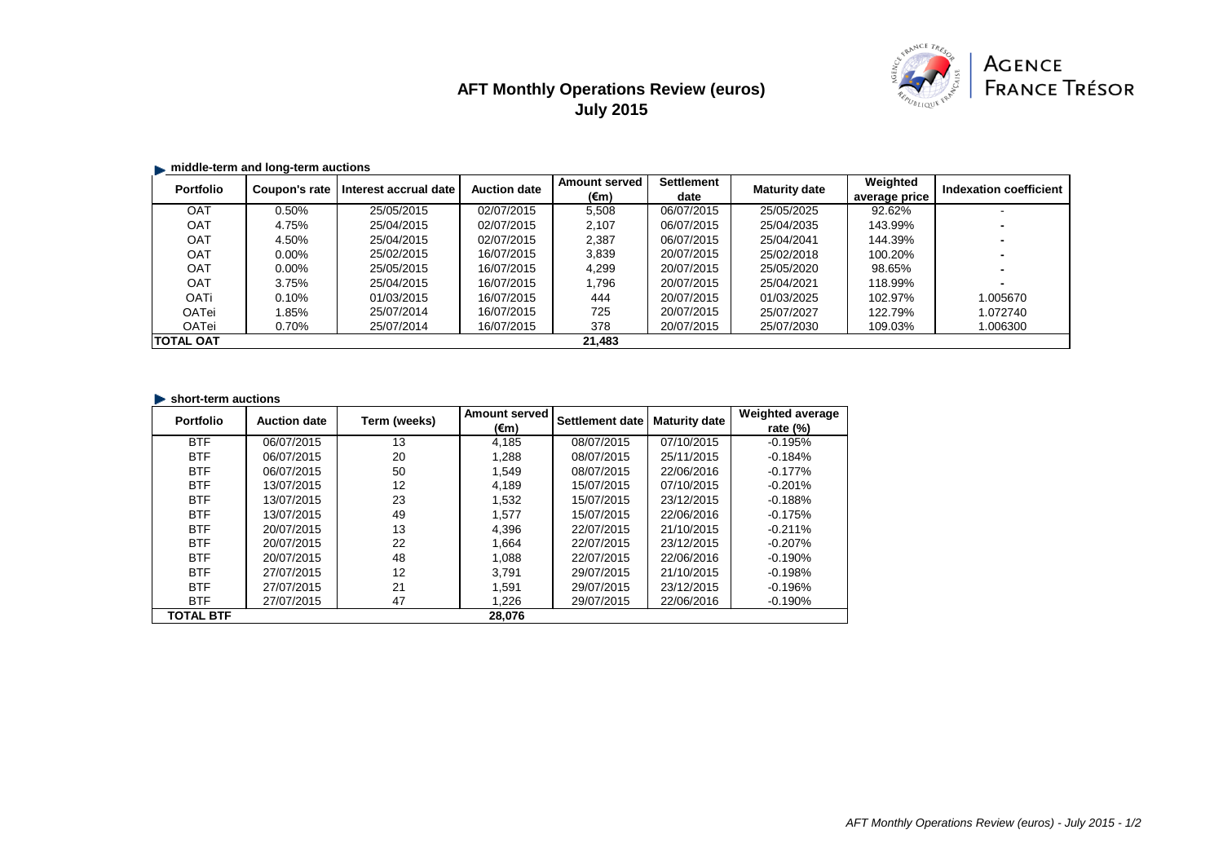# **AFT Monthly Operations Review (euros) July 2015**



#### **middle-term and long-term auctions**

| <b>Portfolio</b> | Coupon's rate | Interest accrual date | <b>Auction date</b> | <b>Amount served</b> | <b>Settlement</b> | <b>Maturity date</b> | Weighted      | <b>Indexation coefficient</b> |
|------------------|---------------|-----------------------|---------------------|----------------------|-------------------|----------------------|---------------|-------------------------------|
|                  |               |                       |                     | $(\epsilon m)$       | date              |                      | average price |                               |
| <b>OAT</b>       | 0.50%         | 25/05/2015            | 02/07/2015          | 5,508                | 06/07/2015        | 25/05/2025           | 92.62%        |                               |
| <b>OAT</b>       | 4.75%         | 25/04/2015            | 02/07/2015          | 2,107                | 06/07/2015        | 25/04/2035           | 143.99%       |                               |
| <b>OAT</b>       | 4.50%         | 25/04/2015            | 02/07/2015          | 2,387                | 06/07/2015        | 25/04/2041           | 144.39%       |                               |
| <b>OAT</b>       | $0.00\%$      | 25/02/2015            | 16/07/2015          | 3,839                | 20/07/2015        | 25/02/2018           | 100.20%       |                               |
| <b>OAT</b>       | $0.00\%$      | 25/05/2015            | 16/07/2015          | 4,299                | 20/07/2015        | 25/05/2020           | 98.65%        |                               |
| <b>OAT</b>       | 3.75%         | 25/04/2015            | 16/07/2015          | 1,796                | 20/07/2015        | 25/04/2021           | 118.99%       |                               |
| <b>OATi</b>      | 0.10%         | 01/03/2015            | 16/07/2015          | 444                  | 20/07/2015        | 01/03/2025           | 102.97%       | 1.005670                      |
| <b>OATei</b>     | l.85%         | 25/07/2014            | 16/07/2015          | 725                  | 20/07/2015        | 25/07/2027           | 122.79%       | 1.072740                      |
| <b>OATei</b>     | 0.70%         | 25/07/2014            | 16/07/2015          | 378                  | 20/07/2015        | 25/07/2030           | 109.03%       | 1.006300                      |
| <b>TOTAL OAT</b> |               |                       |                     | 21,483               |                   |                      |               |                               |

#### **In short-term auctions**

| <b>Portfolio</b> | <b>Auction date</b> | Term (weeks) | <b>Amount served</b> | Settlement date | <b>Maturity date</b> | <b>Weighted average</b> |
|------------------|---------------------|--------------|----------------------|-----------------|----------------------|-------------------------|
|                  |                     |              | $(\epsilon m)$       |                 |                      | rate $(\%)$             |
| <b>BTF</b>       | 06/07/2015          | 13           | 4,185                | 08/07/2015      | 07/10/2015           | $-0.195%$               |
| <b>BTF</b>       | 06/07/2015          | 20           | 1.288                | 08/07/2015      | 25/11/2015           | $-0.184%$               |
| <b>BTF</b>       | 06/07/2015          | 50           | 1,549                | 08/07/2015      | 22/06/2016           | $-0.177%$               |
| <b>BTF</b>       | 13/07/2015          | 12           | 4,189                | 15/07/2015      | 07/10/2015           | $-0.201%$               |
| <b>BTF</b>       | 13/07/2015          | 23           | 1,532                | 15/07/2015      | 23/12/2015           | $-0.188%$               |
| <b>BTF</b>       | 13/07/2015          | 49           | 1,577                | 15/07/2015      | 22/06/2016           | $-0.175%$               |
| <b>BTF</b>       | 20/07/2015          | 13           | 4,396                | 22/07/2015      | 21/10/2015           | $-0.211%$               |
| <b>BTF</b>       | 20/07/2015          | 22           | 1,664                | 22/07/2015      | 23/12/2015           | $-0.207%$               |
| <b>BTF</b>       | 20/07/2015          | 48           | 1,088                | 22/07/2015      | 22/06/2016           | $-0.190%$               |
| <b>BTF</b>       | 27/07/2015          | 12           | 3.791                | 29/07/2015      | 21/10/2015           | $-0.198%$               |
| <b>BTF</b>       | 27/07/2015          | 21           | 1,591                | 29/07/2015      | 23/12/2015           | $-0.196%$               |
| <b>BTF</b>       | 27/07/2015          | 47           | 1,226                | 29/07/2015      | 22/06/2016           | $-0.190%$               |
| <b>TOTAL BTF</b> |                     |              | 28,076               |                 |                      |                         |